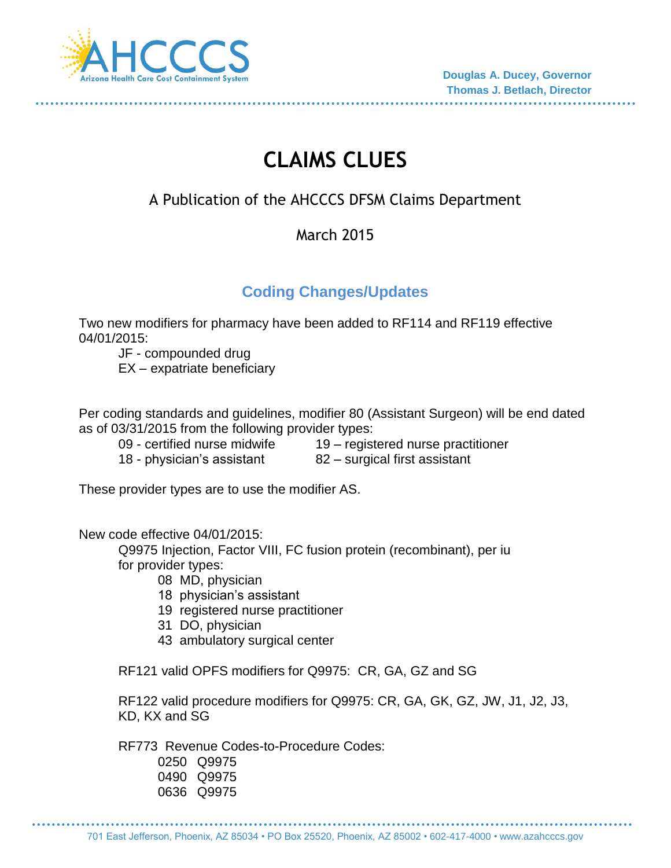

# **CLAIMS CLUES**

## A Publication of the AHCCCS DFSM Claims Department

#### March 2015

### **Coding Changes/Updates**

Two new modifiers for pharmacy have been added to RF114 and RF119 effective 04/01/2015:

JF - compounded drug

EX – expatriate beneficiary

Per coding standards and guidelines, modifier 80 (Assistant Surgeon) will be end dated as of 03/31/2015 from the following provider types:

- 09 certified nurse midwife  $19$  registered nurse practitioner
- 18 physician's assistant 82 surgical first assistant
- 

These provider types are to use the modifier AS.

New code effective 04/01/2015:

Q9975 Injection, Factor VIII, FC fusion protein (recombinant), per iu for provider types:

- 08 MD, physician
- 18 physician's assistant
- 19 registered nurse practitioner
- 31 DO, physician
- 43 ambulatory surgical center

RF121 valid OPFS modifiers for Q9975: CR, GA, GZ and SG

RF122 valid procedure modifiers for Q9975: CR, GA, GK, GZ, JW, J1, J2, J3, KD, KX and SG

RF773 Revenue Codes-to-Procedure Codes:

0250 Q9975 0490 Q9975 0636 Q9975